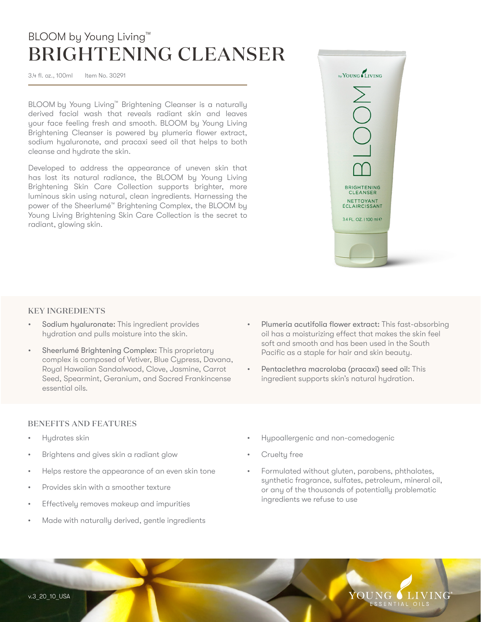## BLOOM by Young Living™ BRIGHTENING CLEANSER

3.4 fl. oz., 100ml Item No. 30291

BLOOM by Young Living™ Brightening Cleanser is a naturally derived facial wash that reveals radiant skin and leaves your face feeling fresh and smooth. BLOOM by Young Living Brightening Cleanser is powered by plumeria flower extract, sodium hyaluronate, and pracaxi seed oil that helps to both cleanse and hydrate the skin.

Developed to address the appearance of uneven skin that has lost its natural radiance, the BLOOM by Young Living Brightening Skin Care Collection supports brighter, more luminous skin using natural, clean ingredients. Harnessing the power of the Sheerlumé™ Brightening Complex, the BLOOM by Young Living Brightening Skin Care Collection is the secret to radiant, glowing skin.



#### KEY INGREDIENTS

- Sodium hyaluronate: This ingredient provides hydration and pulls moisture into the skin.
- Sheerlumé Brightening Complex: This proprietary complex is composed of Vetiver, Blue Cypress, Davana, Royal Hawaiian Sandalwood, Clove, Jasmine, Carrot Seed, Spearmint, Geranium, and Sacred Frankincense essential oils.
- Plumeria acutifolia flower extract: This fast-absorbing oil has a moisturizing effect that makes the skin feel soft and smooth and has been used in the South Pacific as a staple for hair and skin beauty.
- Pentaclethra macroloba (pracaxi) seed oil: This ingredient supports skin's natural hydration.

#### BENEFITS AND FEATURES

- Hydrates skin
- Brightens and gives skin a radiant glow
- Helps restore the appearance of an even skin tone
- Provides skin with a smoother texture
- Effectively removes makeup and impurities
- Made with naturally derived, gentle ingredients
- Hypoallergenic and non-comedogenic
- Cruelty free
- Formulated without gluten, parabens, phthalates, synthetic fragrance, sulfates, petroleum, mineral oil, or any of the thousands of potentially problematic ingredients we refuse to use